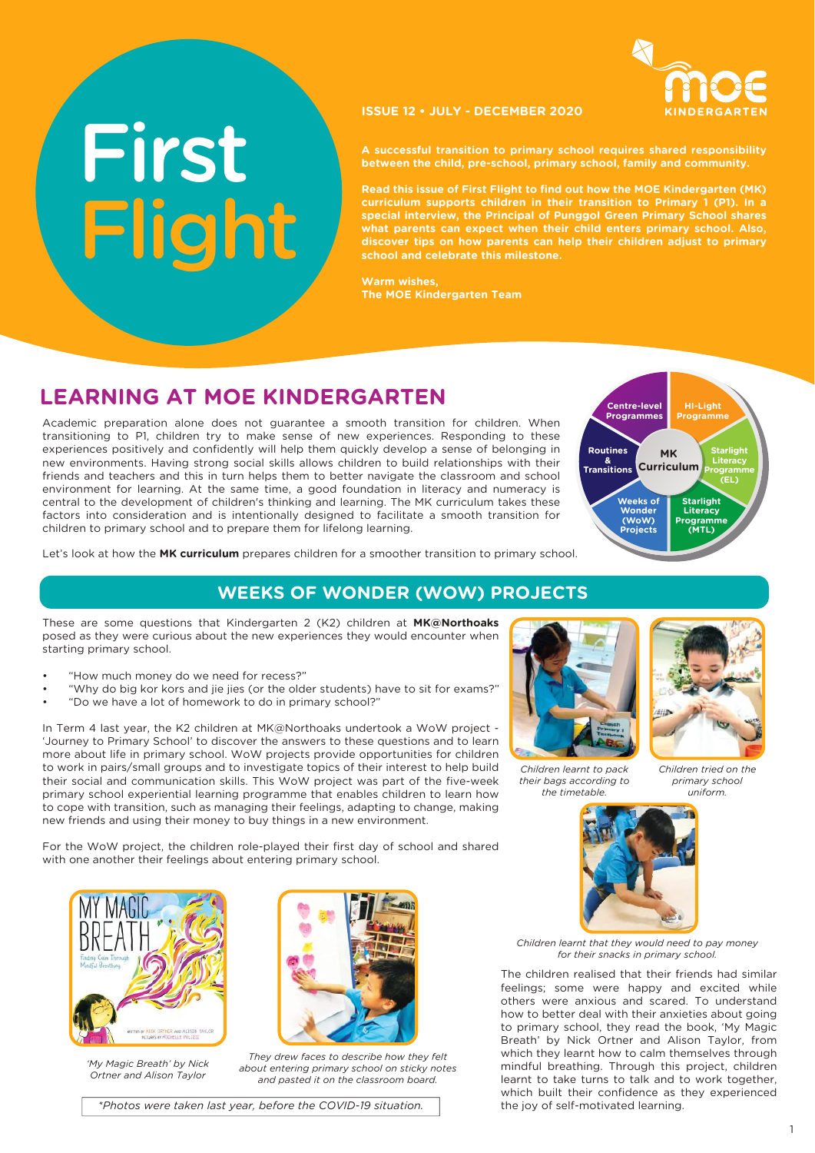

#### **ISSUE 12 • JULY - DECEMBER 2020**

**A successful transition to primary school requires shared responsibility between the child, pre-school, primary school, family and community.** 

**Read this issue of First Flight to find out how the MOE Kindergarten (MK) curriculum supports children in their transition to Primary 1 (P1). In a special interview, the Principal of Punggol Green Primary School shares what parents can expect when their child enters primary school. Also, discover tips on how parents can help their children adjust to primary school and celebrate this milestone.**

**Warm wishes, The MOE Kindergarten Team**

# **LEARNING AT MOE KINDERGARTEN**

Academic preparation alone does not guarantee a smooth transition for children. When transitioning to P1, children try to make sense of new experiences. Responding to these experiences positively and confidently will help them quickly develop a sense of belonging in new environments. Having strong social skills allows children to build relationships with their friends and teachers and this in turn helps them to better navigate the classroom and school environment for learning. At the same time, a good foundation in literacy and numeracy is central to the development of children's thinking and learning. The MK curriculum takes these factors into consideration and is intentionally designed to facilitate a smooth transition for children to primary school and to prepare them for lifelong learning.



Let's look at how the **MK curriculum** prepares children for a smoother transition to primary school.

## **WEEKS OF WONDER (WOW) PROJECTS**

These are some questions that Kindergarten 2 (K2) children at **MK@Northoaks**  posed as they were curious about the new experiences they would encounter when starting primary school.

• "How much money do we need for recess?"

Fligh

Fl ght i

- "Why do big kor kors and jie jies (or the older students) have to sit for exams?"
- "Do we have a lot of homework to do in primary school?"

In Term 4 last year, the K2 children at MK@Northoaks undertook a WoW project - 'Journey to Primary School' to discover the answers to these questions and to learn more about life in primary school. WoW projects provide opportunities for children to work in pairs/small groups and to investigate topics of their interest to help build their social and communication skills. This WoW project was part of the five-week primary school experiential learning programme that enables children to learn how to cope with transition, such as managing their feelings, adapting to change, making new friends and using their money to buy things in a new environment.

For the WoW project, the children role-played their first day of school and shared with one another their feelings about entering primary school.



*'My Magic Breath' by Nick Ortner and Alison Taylor*



*They drew faces to describe how they felt about entering primary school on sticky notes and pasted it on the classroom board.*



*Children learnt to pack their bags according to the timetable.* 

*Children tried on the primary school uniform.*



*Children learnt that they would need to pay money for their snacks in primary school.* 

The children realised that their friends had similar feelings; some were happy and excited while others were anxious and scared. To understand how to better deal with their anxieties about going to primary school, they read the book, 'My Magic Breath' by Nick Ortner and Alison Taylor, from which they learnt how to calm themselves through mindful breathing. Through this project, children learnt to take turns to talk and to work together, which built their confidence as they experienced the joy of self-motivated learning.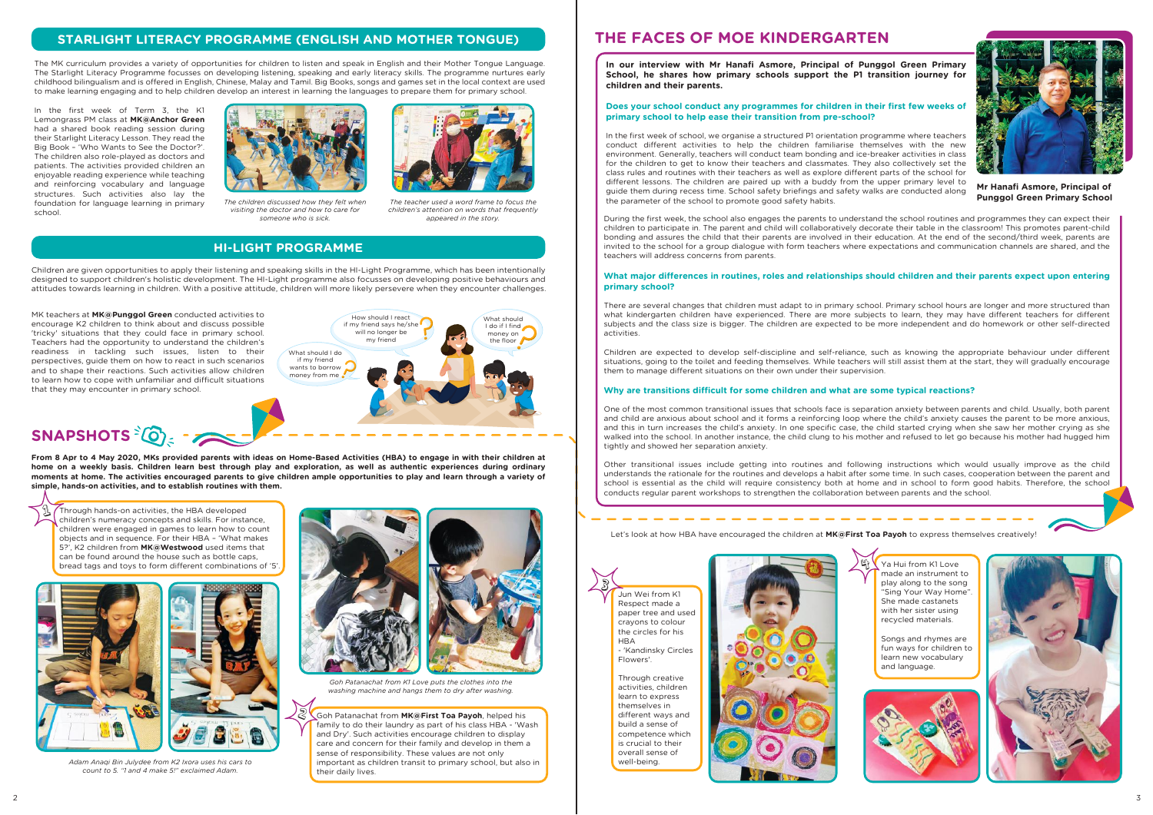The MK curriculum provides a variety of opportunities for children to listen and speak in English and their Mother Tongue Language. The Starlight Literacy Programme focusses on developing listening, speaking and early literacy skills. The programme nurtures early childhood bilingualism and is offered in English, Chinese, Malay and Tamil. Big Books, songs and games set in the local context are used to make learning engaging and to help children develop an interest in learning the languages to prepare them for primary school.

Children are given opportunities to apply their listening and speaking skills in the HI-Light Programme, which has been intentionally designed to support children's holistic development. The HI-Light programme also focusses on developing positive behaviours and attitudes towards learning in children. With a positive attitude, children will more likely persevere when they encounter challenges.

Through hands-on activities, the HBA developed children's numeracy concepts and skills. For instance, children were engaged in games to learn how to count objects and in sequence. For their HBA – 'What makes 5?', K2 children from **MK@Westwood** used items that can be found around the house such as bottle caps, bread tags and toys to form different combinations of '5'  $\mathfrak{P}% _{A_{1},A_{2}}^{\alpha,\beta}(\varepsilon)=\mathfrak{P}_{A_{1},A_{2}}^{\alpha,\beta}(\varepsilon)$ 



Goh Patanachat from **MK@First Toa Payoh**, helped his family to do their laundry as part of his class HBA - 'Wash and Dry'. Such activities encourage children to display care and concern for their family and develop in them a sense of responsibility. These values are not only important as children transit to primary school, but also in their daily lives.  $|8\rangle$ 

**From 8 Apr to 4 May 2020, MKs provided parents with ideas on Home-Based Activities (HBA) to engage in with their children at home on a weekly basis. Children learn best through play and exploration, as well as authentic experiences during ordinary moments at home. The activities encouraged parents to give children ample opportunities to play and learn through a variety of simple, hands-on activities, and to establish routines with them.** 

Let's look at how HBA have encouraged the children at **MK@First Toa Payoh** to express themselves creatively!

In the first week of school, we organise a structured P1 orientation programme where teachers conduct different activities to help the children familiarise themselves with the new environment. Generally, teachers will conduct team bonding and ice-breaker activities in class for the children to get to know their teachers and classmates. They also collectively set the class rules and routines with their teachers as well as explore different parts of the school for different lessons. The children are paired up with a buddy from the upper primary level to guide them during recess time. School safety briefings and safety walks are conducted along The children discussed how they felt when The teacher used a word frame to focus the **The section of the parameter of the school to promote good safety habits.** 

*Adam Anaqi Bin Julydee from K2 Ixora uses his cars to count to 5. "1 and 4 make 5!" exclaimed Adam.*



*Goh Patanachat from K1 Love puts the clothes into the washing machine and hangs them to dry after washing.*

Through creative activities, children learn to express themselves in different ways and build a sense of competence which is crucial to their overall sense of well-being.



Ya Hui from K1 Love made an instrument to play along to the song "Sing Your Way Home". She made castanets with her sister using recycled materials.

Songs and rhymes are fun ways for children to learn new vocabulary and language.





## **STARLIGHT LITERACY PROGRAMME (ENGLISH AND MOTHER TONGUE)**

## **HI-LIGHT PROGRAMME**

# **THE FACES OF MOE KINDERGARTEN**

**In our interview with Mr Hanafi Asmore, Principal of Punggol Green Primary School, he shares how primary schools support the P1 transition journey for children and their parents.**

#### **Does your school conduct any programmes for children in their first few weeks of primary school to help ease their transition from pre-school?**



During the first week, the school also engages the parents to understand the school routines and programmes they can expect their children to participate in. The parent and child will collaboratively decorate their table in the classroom! This promotes parent-child bonding and assures the child that their parents are involved in their education. At the end of the second/third week, parents are invited to the school for a group dialogue with form teachers where expectations and communication channels are shared, and the teachers will address concerns from parents.

#### **What major differences in routines, roles and relationships should children and their parents expect upon entering primary school?**

There are several changes that children must adapt to in primary school. Primary school hours are longer and more structured than what kindergarten children have experienced. There are more subjects to learn, they may have different teachers for different subjects and the class size is bigger. The children are expected to be more independent and do homework or other self-directed activities.

Jun Wei from K1 Respect made a paper tree and used crayons to colour the circles for his **HBA**  - 'Kandinsky Circles Flowers'. 3

Children are expected to develop self-discipline and self-reliance, such as knowing the appropriate behaviour under different situations, going to the toilet and feeding themselves. While teachers will still assist them at the start, they will gradually encourage them to manage different situations on their own under their supervision.

#### **Why are transitions difficult for some children and what are some typical reactions?**

------------------

One of the most common transitional issues that schools face is separation anxiety between parents and child. Usually, both parent and child are anxious about school and it forms a reinforcing loop where the child's anxiety causes the parent to be more anxious, and this in turn increases the child's anxiety. In one specific case, the child started crying when she saw her mother crying as she walked into the school. In another instance, the child clung to his mother and refused to let go because his mother had hugged him tightly and showed her separation anxiety.

Other transitional issues include getting into routines and following instructions which would usually improve as the child understands the rationale for the routines and develops a habit after some time. In such cases, cooperation between the parent and school is essential as the child will require consistency both at home and in school to form good habits. Therefore, the school conducts regular parent workshops to strengthen the collaboration between parents and the school.

 $\mathfrak{g}_t$ 

2



**Mr Hanafi Asmore, Principal of** 

*visiting the doctor and how to care for someone who is sick.*



*The teacher used a word frame to focus the children's attention on words that frequently appeared in the story.*

In the first week of Term 3, the K1 Lemongrass PM class at **MK@Anchor Green** had a shared book reading session during their Starlight Literacy Lesson. They read the Big Book – 'Who Wants to See the Doctor?'. The children also role-played as doctors and patients. The activities provided children an enjoyable reading experience while teaching and reinforcing vocabulary and language structures. Such activities also lay the foundation for language learning in primary school.